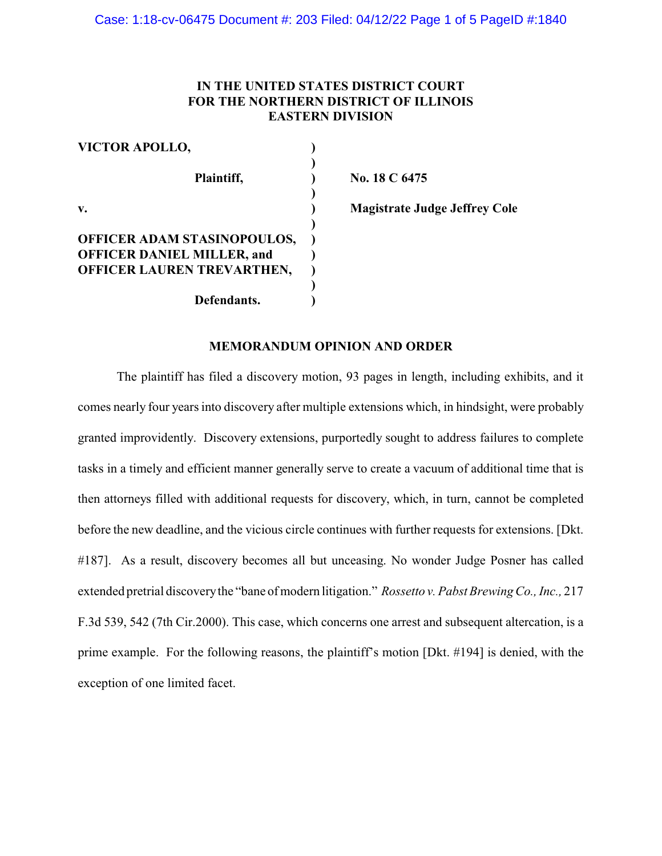# **IN THE UNITED STATES DISTRICT COURT FOR THE NORTHERN DISTRICT OF ILLINOIS EASTERN DIVISION**

| <b>VICTOR APOLLO,</b>             |  |
|-----------------------------------|--|
|                                   |  |
| Plaintiff,                        |  |
|                                   |  |
| v.                                |  |
|                                   |  |
| OFFICER ADAM STASINOPOULOS,       |  |
| <b>OFFICER DANIEL MILLER, and</b> |  |
| OFFICER LAUREN TREVARTHEN,        |  |
|                                   |  |
| Defendants.                       |  |

**Plaintiff, ) No. 18 C 6475**

**v. ) Magistrate Judge Jeffrey Cole**

### **MEMORANDUM OPINION AND ORDER**

The plaintiff has filed a discovery motion, 93 pages in length, including exhibits, and it comes nearly four years into discovery after multiple extensions which, in hindsight, were probably granted improvidently. Discovery extensions, purportedly sought to address failures to complete tasks in a timely and efficient manner generally serve to create a vacuum of additional time that is then attorneys filled with additional requests for discovery, which, in turn, cannot be completed before the new deadline, and the vicious circle continues with further requests for extensions. [Dkt. #187]. As a result, discovery becomes all but unceasing. No wonder Judge Posner has called extended pretrial discoverythe "bane of modern litigation." *Rossetto v. Pabst Brewing Co., Inc.,* 217 F.3d 539, 542 (7th Cir.2000). This case, which concerns one arrest and subsequent altercation, is a prime example. For the following reasons, the plaintiff's motion [Dkt. #194] is denied, with the exception of one limited facet.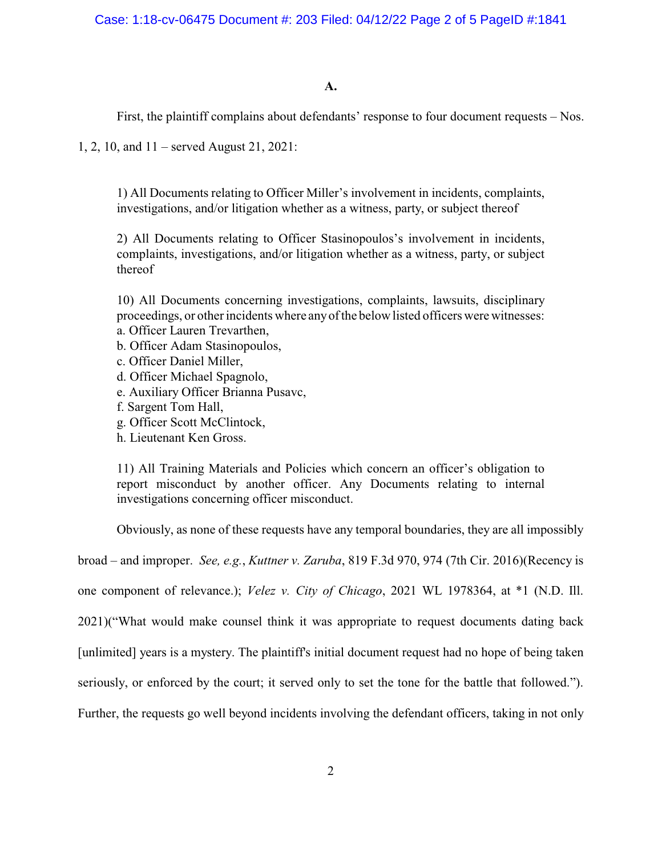**A.**

First, the plaintiff complains about defendants' response to four document requests – Nos.

1, 2, 10, and 11 – served August 21, 2021:

1) All Documents relating to Officer Miller's involvement in incidents, complaints, investigations, and/or litigation whether as a witness, party, or subject thereof

2) All Documents relating to Officer Stasinopoulos's involvement in incidents, complaints, investigations, and/or litigation whether as a witness, party, or subject thereof

10) All Documents concerning investigations, complaints, lawsuits, disciplinary proceedings, or other incidents where anyof the below listed officers were witnesses: a. Officer Lauren Trevarthen,

- b. Officer Adam Stasinopoulos,
- c. Officer Daniel Miller,
- d. Officer Michael Spagnolo,
- e. Auxiliary Officer Brianna Pusavc,
- f. Sargent Tom Hall,
- g. Officer Scott McClintock,
- h. Lieutenant Ken Gross.

11) All Training Materials and Policies which concern an officer's obligation to report misconduct by another officer. Any Documents relating to internal investigations concerning officer misconduct.

Obviously, as none of these requests have any temporal boundaries, they are all impossibly

broad – and improper. *See, e.g.*, *Kuttner v. Zaruba*, 819 F.3d 970, 974 (7th Cir. 2016)(Recency is

one component of relevance.); *Velez v. City of Chicago*, 2021 WL 1978364, at \*1 (N.D. Ill.

2021)("What would make counsel think it was appropriate to request documents dating back

[unlimited] years is a mystery. The plaintiff's initial document request had no hope of being taken

seriously, or enforced by the court; it served only to set the tone for the battle that followed.").

Further, the requests go well beyond incidents involving the defendant officers, taking in not only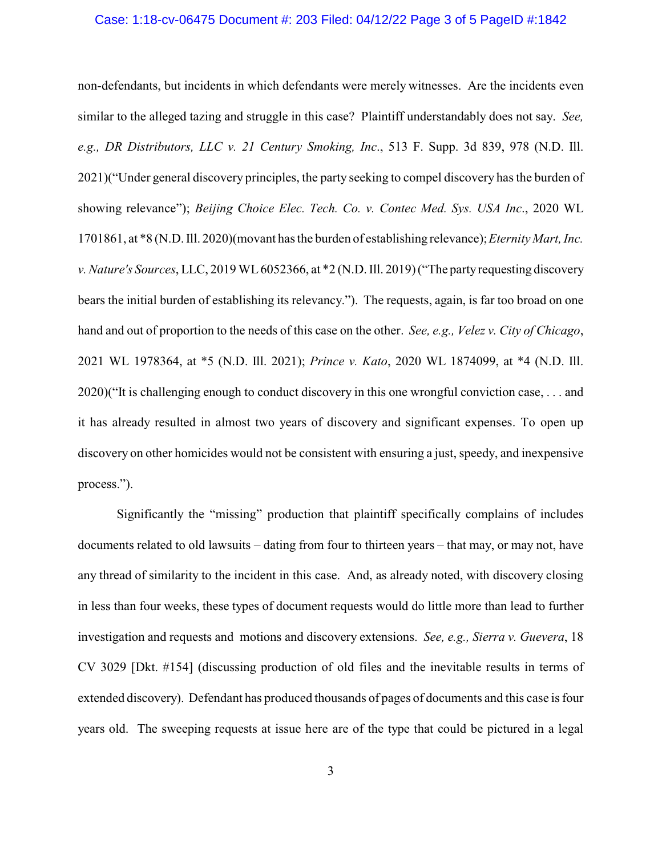#### Case: 1:18-cv-06475 Document #: 203 Filed: 04/12/22 Page 3 of 5 PageID #:1842

non-defendants, but incidents in which defendants were merely witnesses. Are the incidents even similar to the alleged tazing and struggle in this case? Plaintiff understandably does not say. *See, e.g., DR Distributors, LLC v. 21 Century Smoking, Inc*., 513 F. Supp. 3d 839, 978 (N.D. Ill. 2021)("Under general discovery principles, the party seeking to compel discovery has the burden of showing relevance"); *Beijing Choice Elec. Tech. Co. v. Contec Med. Sys. USA Inc*., 2020 WL 1701861, at \*8 (N.D. Ill. 2020)(movant has the burden of establishing relevance);*Eternity Mart, Inc. v. Nature's Sources*, LLC, 2019 WL6052366, at \*2 (N.D. Ill. 2019) ("The partyrequesting discovery bears the initial burden of establishing its relevancy."). The requests, again, is far too broad on one hand and out of proportion to the needs of this case on the other. *See, e.g., Velez v. City of Chicago*, 2021 WL 1978364, at \*5 (N.D. Ill. 2021); *Prince v. Kato*, 2020 WL 1874099, at \*4 (N.D. Ill. 2020)("It is challenging enough to conduct discovery in this one wrongful conviction case, . . . and it has already resulted in almost two years of discovery and significant expenses. To open up discovery on other homicides would not be consistent with ensuring a just, speedy, and inexpensive process.").

Significantly the "missing" production that plaintiff specifically complains of includes documents related to old lawsuits – dating from four to thirteen years – that may, or may not, have any thread of similarity to the incident in this case. And, as already noted, with discovery closing in less than four weeks, these types of document requests would do little more than lead to further investigation and requests and motions and discovery extensions. *See, e.g., Sierra v. Guevera*, 18 CV 3029 [Dkt. #154] (discussing production of old files and the inevitable results in terms of extended discovery). Defendant has produced thousands of pages of documents and this case is four years old. The sweeping requests at issue here are of the type that could be pictured in a legal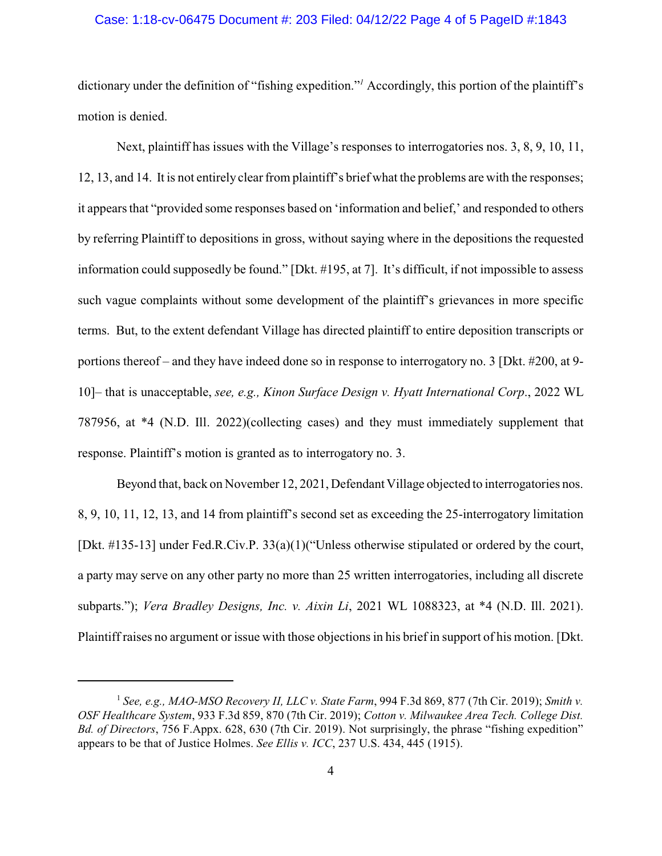### Case: 1:18-cv-06475 Document #: 203 Filed: 04/12/22 Page 4 of 5 PageID #:1843

dictionary under the definition of "fishing expedition."*<sup>1</sup>* Accordingly, this portion of the plaintiff's motion is denied.

Next, plaintiff has issues with the Village's responses to interrogatories nos. 3, 8, 9, 10, 11, 12, 13, and 14. It is not entirely clear from plaintiff's brief what the problems are with the responses; it appears that "provided some responses based on 'information and belief,' and responded to others by referring Plaintiff to depositions in gross, without saying where in the depositions the requested information could supposedly be found." [Dkt. #195, at 7]. It's difficult, if not impossible to assess such vague complaints without some development of the plaintiff's grievances in more specific terms. But, to the extent defendant Village has directed plaintiff to entire deposition transcripts or portions thereof – and they have indeed done so in response to interrogatory no. 3 [Dkt. #200, at 9- 10]– that is unacceptable, *see, e.g., Kinon Surface Design v. Hyatt International Corp*., 2022 WL 787956, at \*4 (N.D. Ill. 2022)(collecting cases) and they must immediately supplement that response. Plaintiff's motion is granted as to interrogatory no. 3.

Beyond that, back on November 12, 2021, Defendant Village objected to interrogatories nos. 8, 9, 10, 11, 12, 13, and 14 from plaintiff's second set as exceeding the 25-interrogatory limitation [Dkt. #135-13] under Fed.R.Civ.P. 33(a)(1)("Unless otherwise stipulated or ordered by the court, a party may serve on any other party no more than 25 written interrogatories, including all discrete subparts."); *Vera Bradley Designs, Inc. v. Aixin Li*, 2021 WL 1088323, at \*4 (N.D. Ill. 2021). Plaintiff raises no argument or issue with those objections in his brief in support of his motion. [Dkt.

<sup>1</sup> *See, e.g., MAO-MSO Recovery II, LLC v. State Farm*, 994 F.3d 869, 877 (7th Cir. 2019); *Smith v. OSF Healthcare System*, 933 F.3d 859, 870 (7th Cir. 2019); *Cotton v. Milwaukee Area Tech. College Dist. Bd. of Directors*, 756 F.Appx. 628, 630 (7th Cir. 2019). Not surprisingly, the phrase "fishing expedition" appears to be that of Justice Holmes. *See Ellis v. ICC*, 237 U.S. 434, 445 (1915).